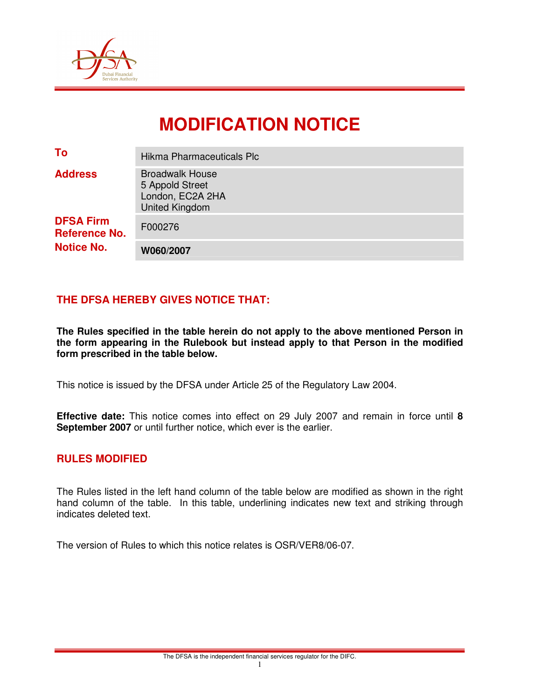

# **MODIFICATION NOTICE**

| To                                                            | Hikma Pharmaceuticals Plc                                                              |
|---------------------------------------------------------------|----------------------------------------------------------------------------------------|
| <b>Address</b>                                                | <b>Broadwalk House</b><br>5 Appold Street<br>London, EC2A 2HA<br><b>United Kingdom</b> |
| <b>DFSA Firm</b><br><b>Reference No.</b><br><b>Notice No.</b> | F000276                                                                                |
|                                                               | W060/2007                                                                              |

## **THE DFSA HEREBY GIVES NOTICE THAT:**

**The Rules specified in the table herein do not apply to the above mentioned Person in the form appearing in the Rulebook but instead apply to that Person in the modified form prescribed in the table below.** 

This notice is issued by the DFSA under Article 25 of the Regulatory Law 2004.

**Effective date:** This notice comes into effect on 29 July 2007 and remain in force until **8 September 2007** or until further notice, which ever is the earlier.

#### **RULES MODIFIED**

The Rules listed in the left hand column of the table below are modified as shown in the right hand column of the table. In this table, underlining indicates new text and striking through indicates deleted text.

The version of Rules to which this notice relates is OSR/VER8/06-07.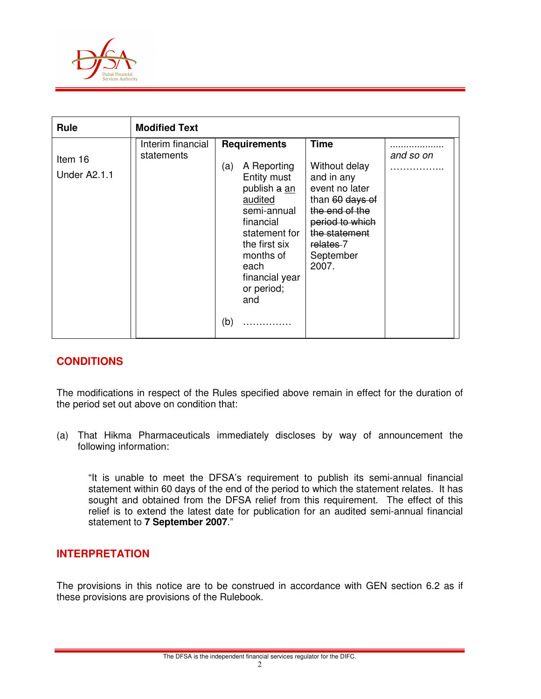

| <b>Rule</b>             | <b>Modified Text</b>            |                                                                                                                                                                                                                      |                                                                                                                                                                          |           |
|-------------------------|---------------------------------|----------------------------------------------------------------------------------------------------------------------------------------------------------------------------------------------------------------------|--------------------------------------------------------------------------------------------------------------------------------------------------------------------------|-----------|
| Item 16<br>Under A2.1.1 | Interim financial<br>statements | <b>Requirements</b><br>A Reporting<br>(a)<br>Entity must<br>publish a an<br>audited<br>semi-annual<br>financial<br>statement for<br>the first six<br>months of<br>each<br>financial year<br>or period;<br>and<br>(b) | <b>Time</b><br>Without delay<br>and in any<br>event no later<br>than 60 days of<br>the end of the<br>period to which<br>the statement<br>relates-7<br>September<br>2007. | and so on |

### **CONDITIONS**

The modifications in respect of the Rules specified above remain in effect for the duration of the period set out above on condition that:

(a) That Hikma Pharmaceuticals immediately discloses by way of announcement the following information:

 "It is unable to meet the DFSA's requirement to publish its semi-annual financial statement within 60 days of the end of the period to which the statement relates. It has sought and obtained from the DFSA relief from this requirement. The effect of this relief is to extend the latest date for publication for an audited semi-annual financial statement to **7 September 2007**."

#### **INTERPRETATION**

The provisions in this notice are to be construed in accordance with GEN section 6.2 as if these provisions are provisions of the Rulebook.